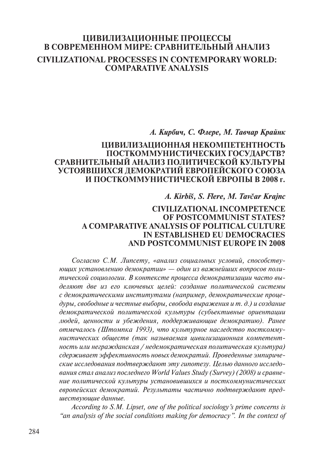# **ЦИВИЛИЗАЦИОННЫЕ ПРОЦЕССЫ В СОВРЕМЕННОМ МИРЕ: СРАВНИТЕЛЬНЫЙ АНАЛИЗ CIVILIZATIONAL PROCESSES IN CONTEMPORARY WORLD: COMPARATIVE ANALYSIS**

## *А. Кирбич, С. Флере, М. Тавчар Крайнк*

## **ЦИВИЛИЗАЦИОННАЯ НЕКОМПЕТЕНТНОСТЬ ПОСТКОММУНИСТИЧЕСКИХ ГОСУДАРСТВ? СРАВНИТЕЛЬНЫЙ АНАЛИЗ ПОЛИТИЧЕСКОЙ КУЛЬТУРЫ УСТОЯВШИХСЯ ДЕМОКРАТИЙ ЕВРОПЕЙСКОГО СОЮЗА И ПОСТКОММУНИСТИЧЕСКОЙ ЕВРОПЫ В 2008 г.**

## *A. Kirbiš, S. Flere, M. Tavčar Krajnc*

## **CIVILIZATIONAL INCOMPETENCE OF POSTCOMMUNIST STATES? A COMPARATIVE ANALYSIS OF POLITICAL CULTURE IN ESTABLISHED EU DEMOCRACIES AND POSTCOMMUNIST EUROPE IN 2008**

*Согласно С.М. Липсету, «анализ социальных условий, способствующих установлению демократии» — один из важнейших вопросов политической социологии. В контексте процесса демократизации часто выделяют две из его ключевых целей: создание политической системы с демократическими институтами (например, демократические процедуры, свободные и честные выборы, свобода выражения и т. д.) и создание демократической политической культуры (субъективные ориентации людей, ценности и убеждения, поддерживающие демократию). Ранее отмечалось (Штомпка 1993), что культурное наследство посткоммунистических обществ (так называемая цивилизационная компетентность или негражданская / недемократическая политическая культура) сдерживает эффективность новых демократий. Проведенные эмпирические исследования подтверждают эту гипотезу. Целью данного исследования стал анализ последнего World Values Study (Survey) (2008) и сравнение политической культуры установившихся и посткоммунистических европейских демократий. Результаты частично подтверждают предшествующие данные.* 

*According to S.M. Lipset, one of the political sociology's prime concerns is "an analysis of the social conditions making for democracy". In the context of*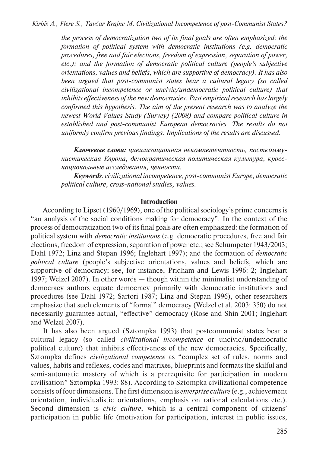*the process of democratization two of its final goals are often emphasized: the formation of political system with democratic institutions (e.g. democratic procedures, free and fair elections, freedom of expression, separation of power, etc.); and the formation of democratic political culture (people's subjective orientations, values and beliefs, which are supportive of democracy). It has also been argued that post-communist states bear a cultural legacy (so called civilizational incompetence or uncivic/undemocratic political culture) that inhibits effectiveness of the new democracies. Past empirical research has largely confirmed this hypothesis. The aim of the present research was to analyze the newest World Values Study (Survey) (2008) and compare political culture in established and post-communist European democracies. The results do not uniformly confirm previous findings. Implications of the results are discussed.*

*Ключевые слова: цивилизационная некомпетентность, посткоммунистическая Европа, демократическая политическая культура, кросснациональные исследования, ценности.*

*Keywords: civilizational incompetence, post-communist Europe, democratic political culture, cross-national studies, values.*

### **Introduction**

According to Lipset (1960/1969), one of the political sociology's prime concerns is "an analysis of the social conditions making for democracy". In the context of the process of democratization two of its final goals are often emphasized: the formation of political system with *democratic institutions* (e.g. democratic procedures, free and fair elections, freedom of expression, separation of power etc.; see Schumpeter 1943/2003; Dahl 1972; Linz and Stepan 1996; Inglehart 1997); and the formation of *democratic political culture* (people's subjective orientations, values and beliefs, which are supportive of democracy; see, for instance, Pridham and Lewis 1996: 2; Inglehart 1997; Welzel 2007). In other words — though within the minimalist understanding of democracy authors equate democracy primarily with democratic institutions and procedures (see Dahl 1972; Sartori 1987; Linz and Stepan 1996), other researchers emphasize that such elements of "formal" democracy (Welzel et al. 2003: 350) do not necessarily guarantee actual, "effective" democracy (Rose and Shin 2001; Inglehart and Welzel 2007).

It has also been argued (Sztompka 1993) that postcommunist states bear a cultural legacy (so called *civilizational incompetence* or uncivic/undemocratic political culture) that inhibits effectiveness of the new democracies. Specifically, Sztompka defines *civilizational competence* as "complex set of rules, norms and values, habits and reflexes, codes and matrixes, blueprints and formats the skilful and semi-automatic mastery of which is a prerequisite for participation in modern civilisation" Sztompka 1993: 88). According to Sztompka civilizational competence consists of four dimensions. The first dimension is *enterprise culture* (e.g., achievement orientation, individualistic orientations, emphasis on rational calculations etc.). Second dimension is *civic culture*, which is a central component of citizens' participation in public life (motivation for participation, interest in public issues,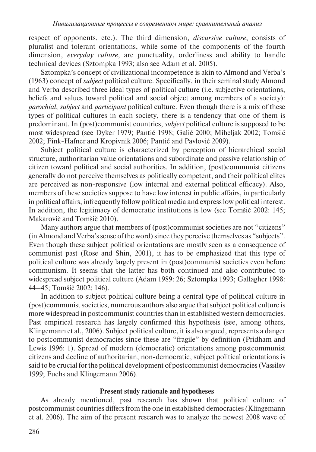respect of opponents, etc.). The third dimension, *discursive culture*, consists of pluralist and tolerant orientations, while some of the components of the fourth dimension, *everyday culture*, are punctuality, orderliness and ability to handle technical devices (Sztompka 1993; also see Adam et al. 2005).

Sztompka's concept of civilizational incompetence is akin to Almond and Verba's (1963) concept of *subject* political culture. Specifically, in their seminal study Almond and Verba described three ideal types of political culture (i.e. subjective orientations, beliefs and values toward political and social object among members of a society): *parochial*, *subject* and *participant* political culture. Even though there is a mix of these types of political cultures in each society, there is a tendency that one of them is predominant. In (post)communist countries, *subject* political culture is supposed to be most widespread (see Dyker 1979; Pantié 1998; Galié 2000; Miheljak 2002; Tomšič 2002; Fink-Hafner and Kropivnik 2006; Pantié and Pavlović 2009).

Subject political culture is characterized by perception of hierarchical social structure, authoritarian value orientations and subordinate and passive relationship of citizen toward political and social authorities. In addition, (post)communist citizens generally do not perceive themselves as politically competent, and their political elites are perceived as non-responsive (low internal and external political efficacy). Also, members of these societies suppose to have low interest in public affairs, in particularly in political affairs, infrequently follow political media and express low political interest. In addition, the legitimacy of democratic institutions is low (see Tomšič 2002: 145; Makarovič and Tomšič 2010).

Many authors argue that members of (post)communist societies are not "citizens" (in Almond and Verba's sense of the word) since they perceive themselves as "subjects". Even though these subject political orientations are mostly seen as a consequence of communist past (Rose and Shin, 2001), it has to be emphasized that this type of political culture was already largely present in (post)communist societies even before communism. It seems that the latter has both continued and also contributed to widespread subject political culture (Adam 1989: 26; Sztompka 1993; Gallagher 1998: 44–45; Tomšič 2002: 146).

In addition to subject political culture being a central type of political culture in (post)communist societies, numerous authors also argue that subject political culture is more widespread in postcommunist countries than in established western democracies. Past empirical research has largely confirmed this hypothesis (see, among others, Klingemann et al., 2006). Subject political culture, it is also argued, represents a danger to postcommunist democracies since these are "fragile" by definition (Pridham and Lewis 1996: 1). Spread of modern (democratic) orientations among postcommunist citizens and decline of authoritarian, non-democratic, subject political orientations is said to be crucial for the political development of postcommunist democracies (Vassilev 1999; Fuchs and Klingemann 2006).

#### **Present study rationale and hypotheses**

As already mentioned, past research has shown that political culture of postcommunist countries differs from the one in established democracies (Klingemann et al. 2006). The aim of the present research was to analyze the newest 2008 wave of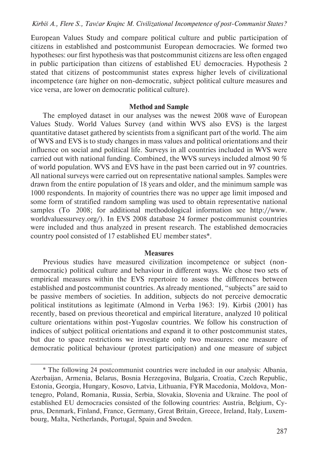European Values Study and compare political culture and public participation of citizens in established and postcommunist European democracies. We formed two hypotheses: our first hypothesis was that postcommunist citizens are less often engaged in public participation than citizens of established EU democracies. Hypothesis 2 stated that citizens of postcommunist states express higher levels of civilizational incompetence (are higher on non-democratic, subject political culture measures and vice versa, are lower on democratic political culture).

#### **Method and Sample**

The employed dataset in our analyses was the newest 2008 wave of European Values Study. World Values Survey (and within WVS also EVS) is the largest quantitative dataset gathered by scientists from a significant part of the world. The aim of WVS and EVS is to study changes in mass values and political orientations and their influence on social and political life. Surveys in all countries included in WVS were carried out with national funding. Combined, the WVS surveys included almost 90 % of world population. WVS and EVS have in the past been carried out in 97 countries. All national surveys were carried out on representative national samples. Samples were drawn from the entire population of 18 years and older, and the minimum sample was 1000 respondents. In majority of countries there was no upper age limit imposed and some form of stratified random sampling was used to obtain representative national samples (To 2008; for additional methodological information see http://www. worldvaluessurvey.org/). In EVS 2008 database 24 former postcommunist countries were included and thus analyzed in present research. The established democracies country pool consisted of 17 established EU member states\*.

#### **Measures**

Previous studies have measured civilization incompetence or subject (nondemocratic) political culture and behaviour in different ways. We chose two sets of empirical measures within the EVS repertoire to assess the differences between established and postcommunist countries. As already mentioned, "subjects" are said to be passive members of societies. In addition, subjects do not perceive democratic political institutions as legitimate (Almond in Verba 1963: 19). Kirbiš (2001) has recently, based on previous theoretical and empirical literature, analyzed 10 political culture orientations within post-Yugoslav countries. We follow his construction of indices of subject political orientations and expand it to other postcommunist states, but due to space restrictions we investigate only two measures: one measure of democratic political behaviour (protest participation) and one measure of subject

<sup>\*</sup> The following 24 postcommunist countries were included in our analysis: Albania, Azerbaijan, Armenia, Belarus, Bosnia Herzegovina, Bulgaria, Croatia, Czech Republic, Estonia, Georgia, Hungary, Kosovo, Latvia, Lithuania, FYR Macedonia, Moldova, Montenegro, Poland, Romania, Russia, Serbia, Slovakia, Slovenia and Ukraine. The pool of established EU democracies consisted of the following countries: Austria, Belgium, Cyprus, Denmark, Finland, France, Germany, Great Britain, Greece, Ireland, Italy, Luxembourg, Malta, Netherlands, Portugal, Spain and Sweden.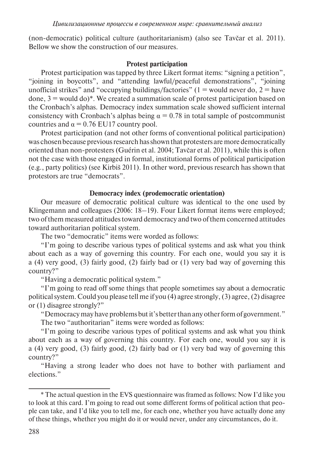(non-democratic) political culture (authoritarianism) (also see Tavčar et al. 2011). Bellow we show the construction of our measures.

## **Protest participation**

Protest participation was tapped by three Likert format items: "signing a petition", "joining in boycotts", and "attending lawful/peaceful demonstrations", "joining unofficial strikes" and "occupying buildings/factories" ( $1 =$  would never do,  $2 =$  have done,  $3 =$  would do)<sup>\*</sup>. We created a summation scale of protest participation based on the Cronbach's alphas. Democracy index summation scale showed sufficient internal consistency with Cronbach's alphas being  $\alpha = 0.78$  in total sample of postcommunist countries and  $\alpha$  = 0.76 EU17 country pool.

Protest participation (and not other forms of conventional political participation) was chosen because previous research has shown that protesters are more democratically oriented than non-protesters (Guérin et al. 2004; Tavčar et al. 2011), while this is often not the case with those engaged in formal, institutional forms of political participation (e.g., party politics) (see Kirbiš 2011). In other word, previous research has shown that protestors are true "democrats".

## **Democracy index (prodemocratic orientation)**

Our measure of democratic political culture was identical to the one used by Klingemann and colleagues (2006: 18–19). Four Likert format items were employed; two of them measured attitudes toward democracy and two of them concerned attitudes toward authoritarian political system.

The two "democratic" items were worded as follows:

"I'm going to describe various types of political systems and ask what you think about each as a way of governing this country. For each one, would you say it is a (4) very good, (3) fairly good, (2) fairly bad or (1) very bad way of governing this country?"

"Having a democratic political system."

"I'm going to read off some things that people sometimes say about a democratic political system. Could you please tell me if you (4) agree strongly, (3) agree, (2) disagree or (1) disagree strongly?"

"Democracy may have problems but it's better than any other form of government." The two "authoritarian" items were worded as follows:

"I'm going to describe various types of political systems and ask what you think about each as a way of governing this country. For each one, would you say it is a (4) very good, (3) fairly good, (2) fairly bad or (1) very bad way of governing this country?"

"Having a strong leader who does not have to bother with parliament and elections."

<sup>\*</sup> The actual question in the EVS questionnaire was framed as follows: Now I'd like you to look at this card. I'm going to read out some different forms of political action that people can take, and I'd like you to tell me, for each one, whether you have actually done any of these things, whether you might do it or would never, under any circumstances, do it.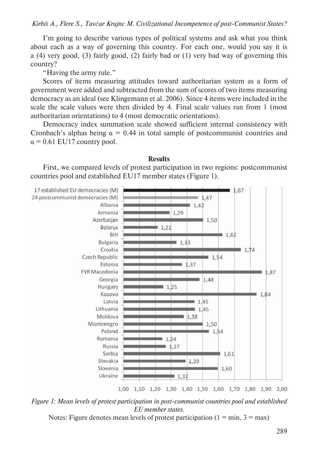I'm going to describe various types of political systems and ask what you think about each as a way of governing this country. For each one, would you say it is a (4) very good, (3) fairly good, (2) fairly bad or (1) very bad way of governing this country?

"Having the army rule."

Scores of items measuring attitudes toward authoritarian system as a form of government were added and subtracted from the sum of scores of two items measuring democracy as an ideal (see Klingemann et al. 2006). Since 4 items were included in the scale the scale values were then divided by 4. Final scale values ran from 1 (most authoritarian orientations) to 4 (most democratic orientations).

Democracy index summation scale showed sufficient internal consistency with Cronbach's alphas being  $\alpha = 0.44$  in total sample of postcommunist countries and  $\alpha$  = 0.61 EU17 country pool.

## **Results**

First, we compared levels of protest participation in two regions: postcommunist countries pool and established EU17 member states (Figure 1).



*Figure 1: Mean levels of protest participation in post-communist countries pool and established EU member states.*

Notes: Figure denotes mean levels of protest participation ( $1 = min$ ,  $3 = max$ )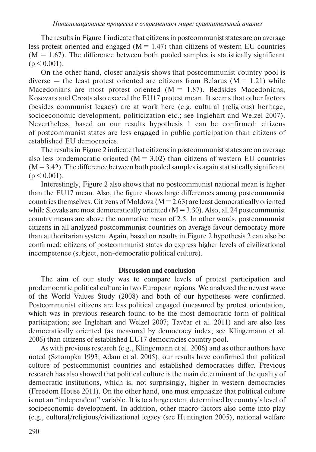The results in Figure 1 indicate that citizens in postcommunist states are on average less protest oriented and engaged ( $M = 1.47$ ) than citizens of western EU countries  $(M = 1.67)$ . The difference between both pooled samples is statistically significant  $(p < 0.001)$ .

On the other hand, closer analysis shows that postcommunist country pool is diverse — the least protest oriented are citizens from Belarus ( $M = 1.21$ ) while Macedonians are most protest oriented  $(M = 1.87)$ . Bedsides Macedonians, Kosovars and Croats also exceed the EU17 protest mean. It seems that other factors (besides communist legacy) are at work here (e.g. cultural (religious) heritage, socioeconomic development, politicization etc.; see Inglehart and Welzel 2007). Nevertheless, based on our results hypothesis 1 can be confirmed: citizens of postcommunist states are less engaged in public participation than citizens of established EU democracies.

The results in Figure 2 indicate that citizens in postcommunist states are on average also less prodemocratic oriented  $(M = 3.02)$  than citizens of western EU countries  $(M = 3.42)$ . The difference between both pooled samples is again statistically significant  $(p < 0.001)$ .

Interestingly, Figure 2 also shows that no postcommunist national mean is higher than the EU17 mean. Also, the figure shows large differences among postcommunist countries themselves. Citizens of Moldova ( $M = 2.63$ ) are least democratically oriented while Slovaks are most democratically oriented  $(M = 3.30)$ . Also, all 24 postcommunist country means are above the normative mean of 2.5. In other words, postcommunist citizens in all analyzed postcommunist countries on average favour democracy more than authoritarian system. Again, based on results in Figure 2 hypothesis 2 can also be confirmed: citizens of postcommunist states do express higher levels of civilizational incompetence (subject, non-democratic political culture).

### **Discussion and conclusion**

The aim of our study was to compare levels of protest participation and prodemocratic political culture in two European regions. We analyzed the newest wave of the World Values Study (2008) and both of our hypotheses were confirmed. Postcommunist citizens are less political engaged (measured by protest orientation, which was in previous research found to be the most democratic form of political participation; see Inglehart and Welzel 2007; Tavčar et al. 2011) and are also less democratically oriented (as measured by democracy index; see Klingemann et al. 2006) than citizens of established EU17 democracies country pool.

As with previous research (e.g., Klingemann et al. 2006) and as other authors have noted (Sztompka 1993; Adam et al. 2005), our results have confirmed that political culture of postcommunist countries and established democracies differ. Previous research has also showed that political culture is the main determinant of the quality of democratic institutions, which is, not surprisingly, higher in western democracies (Freedom House 2011). On the other hand, one must emphasize that political culture is not an "independent" variable. It is to a large extent determined by country's level of socioeconomic development. In addition, other macro-factors also come into play (e.g., cultural/religious/civilizational legacy (see Huntington 2005), national welfare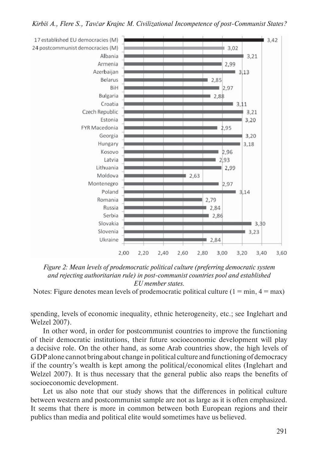*Kirbiš A., Flere S., Tavčar Krajnc M. Civilizational Incompetence of post-Communist States?*



*Figure 2: Mean levels of prodemocratic political culture (preferring democratic system and rejecting authoritarian rule) in post-communist countries pool and established EU member states.*

Notes: Figure denotes mean levels of prodemocratic political culture  $(1 = min, 4 = max)$ 

spending, levels of economic inequality, ethnic heterogeneity, etc.; see Inglehart and Welzel 2007).

In other word, in order for postcommunist countries to improve the functioning of their democratic institutions, their future socioeconomic development will play a decisive role. On the other hand, as some Arab countries show, the high levels of GDP alone cannot bring about change in political culture and functioning of democracy if the country's wealth is kept among the political/economical elites (Inglehart and Welzel 2007). It is thus necessary that the general public also reaps the benefits of socioeconomic development.

Let us also note that our study shows that the differences in political culture between western and postcommunist sample are not as large as it is often emphasized. It seems that there is more in common between both European regions and their publics than media and political elite would sometimes have us believed.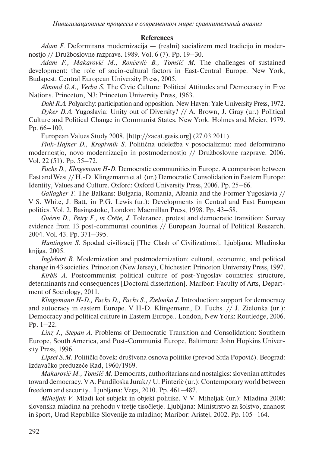## **References**

*Adam F.* Deformirana modernizacija — (realni) socializem med tradicijo in modernostjo // Družboslovne razprave. 1989. Vol. 6 (7). Pp. 19–30.

*Adam F., Makarovič M., Rončević B., Tomšič M.* The challenges of sustained development: the role of socio-cultural factors in East-Central Europe. New York, Budapest: Central European University Press, 2005.

*Almond G.A., Verba S.* The Civic Culture: Political Attitudes and Democracy in Five Nations. Princeton, NJ: Princeton University Press, 1963.

*Dahl R.A.* Polyarchy: participation and opposition. New Haven: Yale University Press, 1972. *Dyker D.A.* Yugoslavia: Unity out of Diversity? // A. Brown, J. Gray (ur.) Political Culture and Political Change in Communist States. New York: Holmes and Meier, 1979. Pp. 66–100.

European Values Study 2008. [http://zacat.gesis.org] (27.03.2011).

*Fink-Hafner D., Kropivnik S*. Politična udeležba v posocializmu: med deformirano modernostjo, novo modernizacijo in postmodernostjo // Družboslovne razprave. 2006. Vol. 22 (51). Pp. 55–72.

*Fuchs D., Klingemann H-D.* Democratic communities in Europe. A comparison between East and West // H.-D. Klingemann et al. (ur.) Democratic Consolidation in Eastern Europe: Identity, Values and Culture. Oxford: Oxford University Press, 2006. Pp. 25–66.

*Gallagher T.* The Balkans: Bulgaria, Romania, Albania and the Former Yugoslavia // V S. White, J. Batt, in P.G. Lewis (ur.): Developments in Central and East European politics. Vol. 2. Basingstoke, London: Macmillan Press, 1998. Pp. 43–58.

*Guérin D., Petry F., in Crête, J.* Tolerance, protest and democratic transition: Survey evidence from 13 post-communist countries // European Journal of Political Research. 2004. Vol. 43. Pp. 371–395.

*Huntington S*. Spodad civilizacij [The Clash of Civilizations]. Ljubljana: Mladinska knjiga, 2005.

*Inglehart R.* Modernization and postmodernization: cultural, economic, and political change in 43 societies. Princeton (New Jersey), Chichester: Princeton University Press, 1997.

*Kirbiš A.* Postcommunist political culture of post-Yugoslav countries: structure, determinants and consequences [Doctoral dissertation]. Maribor: Faculty of Arts, Department of Sociology, 2011.

*Klingemann H-D., Fuchs D., Fuchs S., Zielonka J.* Introduction: support for democracy and autocracy in eastern Europe. V H-D. Klingemann, D. Fuchs. // J. Zielonka (ur.): Democracy and political culture in Eastern Europe.. London, New York: Routledge, 2006. Pp. 1–22.

*Linz J., Stepan A.* Problems of Democratic Transition and Consolidation: Southern Europe, South America, and Post-Communist Europe. Baltimore: John Hopkins University Press, 1996.

*Lipset S.M.* Politički čovek: društvena osnova politike (prevod Srđa Popović). Beograd: Izdavačko preduzeće Rad, 1960/1969.

*Makarovič M., Tomšič M.* Democrats, authoritarians and nostalgics: slovenian attitudes toward democracy. V A. Pandiloska Jurak// U. Pinterič (ur.): Contemporary world between freedom and security.. Ljubljana: Vega, 2010. Pp. 461–487.

*Miheljak V.* Mladi kot subjekt in objekt politike. V V. Miheljak (ur.): Mladina 2000: slovenska mladina na prehodu v tretje tisočletje. Ljubljana: Ministrstvo za šolstvo, znanost in šport, Urad Republike Slovenije za mladino; Maribor: Aristej, 2002. Pp. 105–164.